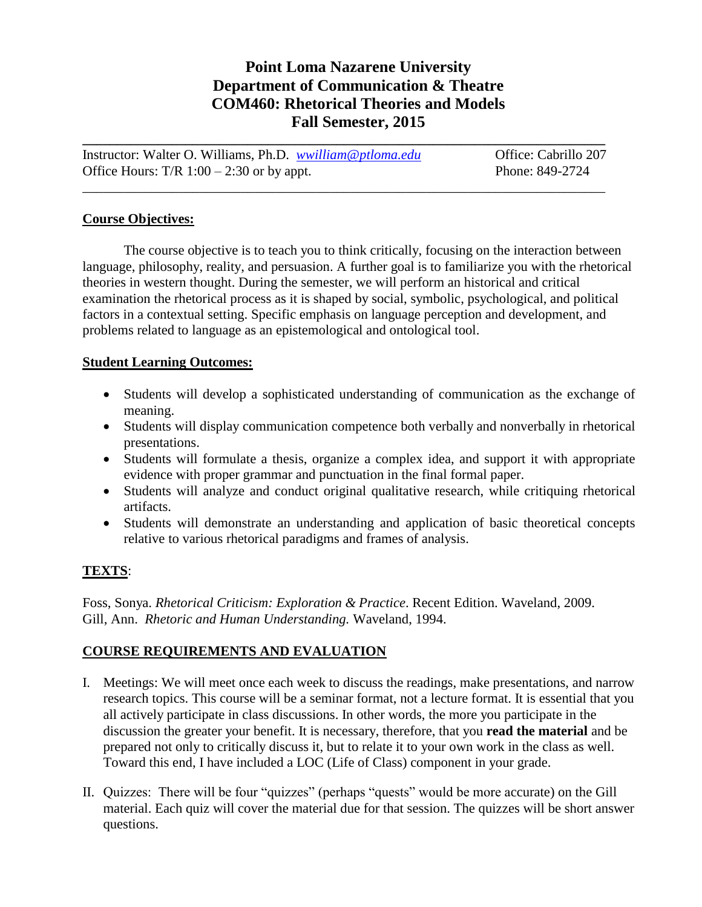## **Point Loma Nazarene University Department of Communication & Theatre COM460: Rhetorical Theories and Models Fall Semester, 2015**

| Instructor: Walter O. Williams, Ph.D. <i>wwilliam@ptloma.edu</i> | Office: Cabrillo 207 |
|------------------------------------------------------------------|----------------------|
| Office Hours: $T/R$ 1:00 – 2:30 or by appt.                      | Phone: 849-2724      |
|                                                                  |                      |

#### **Course Objectives:**

The course objective is to teach you to think critically, focusing on the interaction between language, philosophy, reality, and persuasion. A further goal is to familiarize you with the rhetorical theories in western thought. During the semester, we will perform an historical and critical examination the rhetorical process as it is shaped by social, symbolic, psychological, and political factors in a contextual setting. Specific emphasis on language perception and development, and problems related to language as an epistemological and ontological tool.

#### **Student Learning Outcomes:**

- Students will develop a sophisticated understanding of communication as the exchange of meaning.
- Students will display communication competence both verbally and nonverbally in rhetorical presentations.
- Students will formulate a thesis, organize a complex idea, and support it with appropriate evidence with proper grammar and punctuation in the final formal paper.
- Students will analyze and conduct original qualitative research, while critiquing rhetorical artifacts.
- Students will demonstrate an understanding and application of basic theoretical concepts relative to various rhetorical paradigms and frames of analysis.

### **TEXTS**:

Foss, Sonya. *Rhetorical Criticism: Exploration & Practice*. Recent Edition. Waveland, 2009. Gill, Ann. *Rhetoric and Human Understanding.* Waveland, 1994.

### **COURSE REQUIREMENTS AND EVALUATION**

- I. Meetings: We will meet once each week to discuss the readings, make presentations, and narrow research topics. This course will be a seminar format, not a lecture format. It is essential that you all actively participate in class discussions. In other words, the more you participate in the discussion the greater your benefit. It is necessary, therefore, that you **read the material** and be prepared not only to critically discuss it, but to relate it to your own work in the class as well. Toward this end, I have included a LOC (Life of Class) component in your grade.
- II. Quizzes: There will be four "quizzes" (perhaps "quests" would be more accurate) on the Gill material. Each quiz will cover the material due for that session. The quizzes will be short answer questions.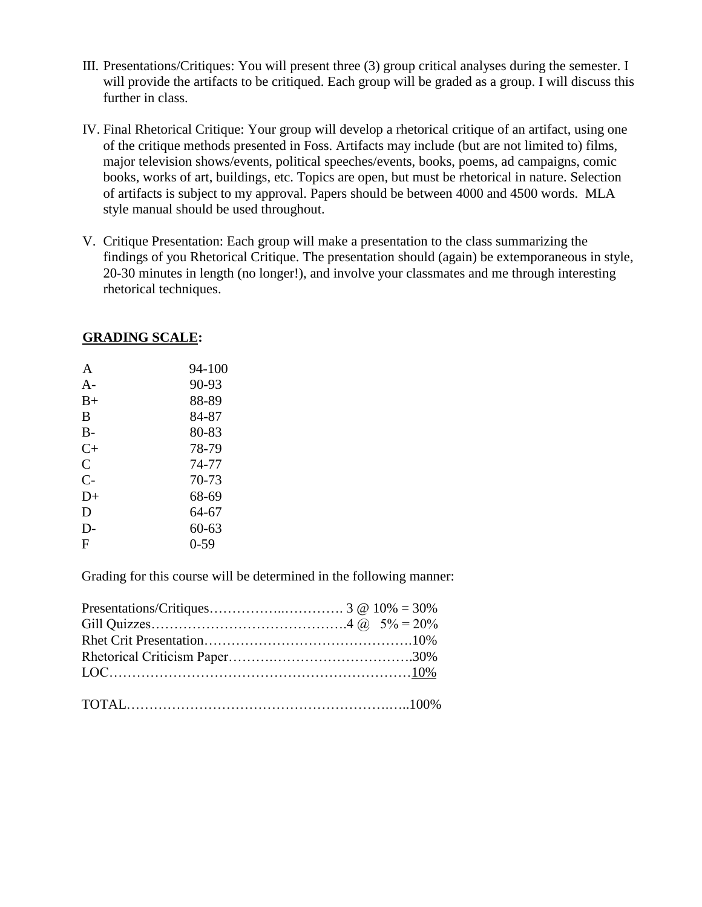- III. Presentations/Critiques: You will present three (3) group critical analyses during the semester. I will provide the artifacts to be critiqued. Each group will be graded as a group. I will discuss this further in class.
- IV. Final Rhetorical Critique: Your group will develop a rhetorical critique of an artifact, using one of the critique methods presented in Foss. Artifacts may include (but are not limited to) films, major television shows/events, political speeches/events, books, poems, ad campaigns, comic books, works of art, buildings, etc. Topics are open, but must be rhetorical in nature. Selection of artifacts is subject to my approval. Papers should be between 4000 and 4500 words. MLA style manual should be used throughout.
- V. Critique Presentation: Each group will make a presentation to the class summarizing the findings of you Rhetorical Critique. The presentation should (again) be extemporaneous in style, 20-30 minutes in length (no longer!), and involve your classmates and me through interesting rhetorical techniques.

#### **GRADING SCALE:**

| A         | 94-100 |
|-----------|--------|
| $A-$      | 90-93  |
| $B+$      | 88-89  |
| B         | 84-87  |
| $B-$      | 80-83  |
| $C_{\pm}$ | 78-79  |
| C         | 74-77  |
| $C-$      | 70-73  |
| $D+$      | 68-69  |
| D         | 64-67  |
| D-        | 60-63  |
| F         | 0-59   |
|           |        |

Grading for this course will be determined in the following manner: